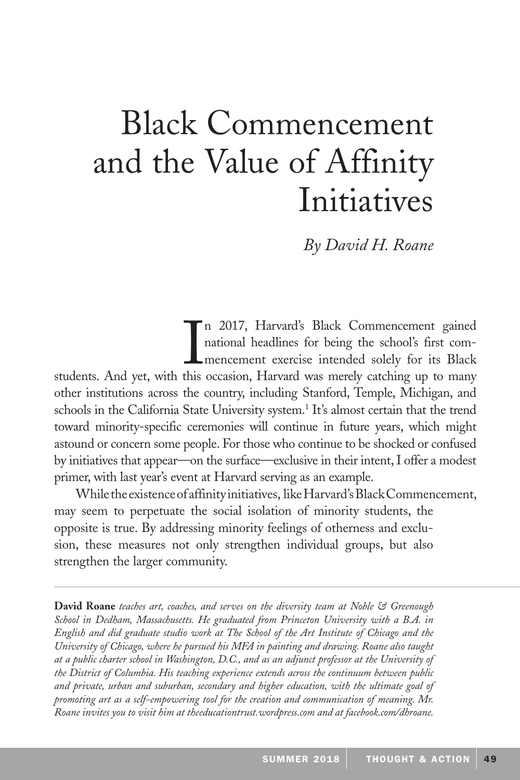# Black Commencement and the Value of Affinity Initiatives

*By David H. Roane*

I n 2017, Harvard's Black Commencement gained national headlines for being the school's first commencement exercise intended solely for its Black students. And yet, with this occasion, Harvard was merely catching up to many other institutions across the country, including Stanford, Temple, Michigan, and schools in the California State University system.<sup>1</sup> It's almost certain that the trend toward minority-specific ceremonies will continue in future years, which might astound or concern some people. For those who continue to be shocked or confused by initiatives that appear—on the surface—exclusive in their intent, I offer a modest primer, with last year's event at Harvard serving as an example.

may seem to perpetuate the social isolation of minority students, the opposite is true. By addressing minority feelings of otherness and exclusion, these measures not only strengthen individual groups, but also strengthen the larger community. While the existence of affinity initiatives, like Harvard's Black Commencement,

**David Roane** *teaches art, coaches, and serves on the diversity team at Noble & Greenough School in Dedham, Massachusetts. He graduated from Princeton University with a B.A. in English and did graduate studio work at The School of the Art Institute of Chicago and the University of Chicago, where he pursued his MFA in painting and drawing. Roane also taught at a public charter school in Washington, D.C., and as an adjunct professor at the University of the District of Columbia. His teaching experience extends across the continuum between public and private, urban and suburban, secondary and higher education, with the ultimate goal of promoting art as a self-empowering tool for the creation and communication of meaning. Mr. Roane invites you to visit him at theeducationtrust.wordpress.com and at facebook.com/dhroane.*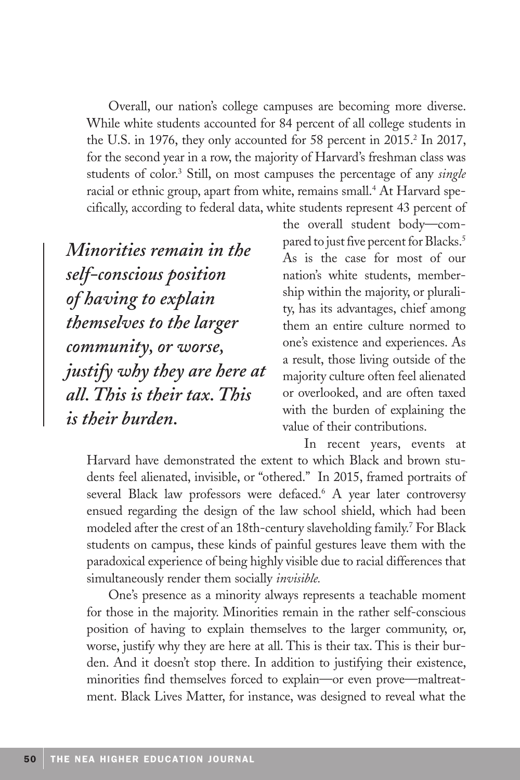Overall, our nation's college campuses are becoming more diverse. While white students accounted for 84 percent of all college students in the U.S. in 1976, they only accounted for 58 percent in 2015.<sup>2</sup> In 2017, for the second year in a row, the majority of Harvard's freshman class was students of color.3 Still, on most campuses the percentage of any *single* racial or ethnic group, apart from white, remains small.<sup>4</sup> At Harvard specifically, according to federal data, white students represent 43 percent of

*Minorities remain in the self-conscious position of having to explain themselves to the larger community, or worse, justify why they are here at all. This is their tax. This is their burden.* 

the overall student body—compared to just five percent for Blacks.<sup>5</sup> As is the case for most of our nation's white students, membership within the majority, or plurality, has its advantages, chief among them an entire culture normed to one's existence and experiences. As a result, those living outside of the majority culture often feel alienated or overlooked, and are often taxed with the burden of explaining the value of their contributions.

In recent years, events at Harvard have demonstrated the extent to which Black and brown students feel alienated, invisible, or "othered." In 2015, framed portraits of several Black law professors were defaced.<sup>6</sup> A year later controversy ensued regarding the design of the law school shield, which had been modeled after the crest of an 18th-century slaveholding family.7 For Black students on campus, these kinds of painful gestures leave them with the paradoxical experience of being highly visible due to racial differences that simultaneously render them socially *invisible.*

One's presence as a minority always represents a teachable moment for those in the majority. Minorities remain in the rather self-conscious position of having to explain themselves to the larger community, or, worse, justify why they are here at all. This is their tax. This is their burden. And it doesn't stop there. In addition to justifying their existence, minorities find themselves forced to explain—or even prove—maltreatment. Black Lives Matter, for instance, was designed to reveal what the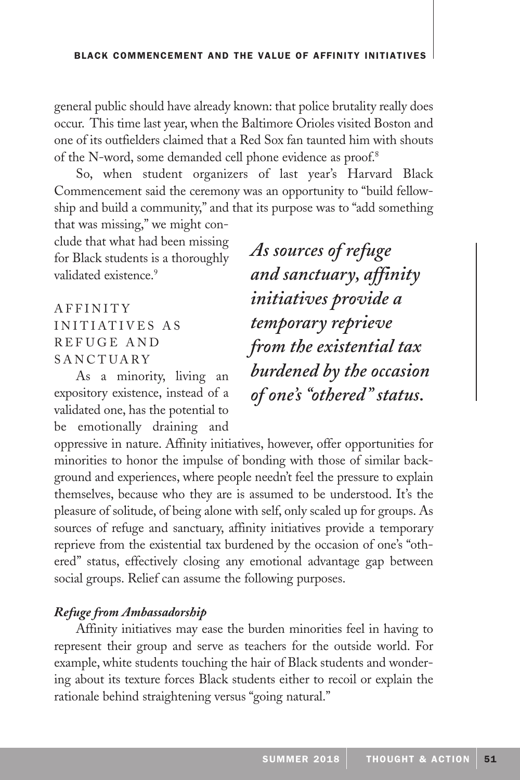general public should have already known: that police brutality really does occur. This time last year, when the Baltimore Orioles visited Boston and one of its outfielders claimed that a Red Sox fan taunted him with shouts of the N-word, some demanded cell phone evidence as proof.8

So, when student organizers of last year's Harvard Black Commencement said the ceremony was an opportunity to "build fellowship and build a community," and that its purpose was to "add something that was missing," we might con-

clude that what had been missing for Black students is a thoroughly validated existence.<sup>9</sup>

A F F I N I T Y INITIATIVES AS R E F U G E A N D SANCTUARY

As a minority, living an expository existence, instead of a validated one, has the potential to be emotionally draining and

*As sources of refuge and sanctuary, affinity initiatives provide a temporary reprieve from the existential tax burdened by the occasion of one's "othered" status.*

oppressive in nature. Affinity initiatives, however, offer opportunities for minorities to honor the impulse of bonding with those of similar background and experiences, where people needn't feel the pressure to explain themselves, because who they are is assumed to be understood. It's the pleasure of solitude, of being alone with self, only scaled up for groups. As sources of refuge and sanctuary, affinity initiatives provide a temporary reprieve from the existential tax burdened by the occasion of one's "othered" status, effectively closing any emotional advantage gap between social groups. Relief can assume the following purposes.

## *Refuge from Ambassadorship*

Affinity initiatives may ease the burden minorities feel in having to represent their group and serve as teachers for the outside world. For example, white students touching the hair of Black students and wondering about its texture forces Black students either to recoil or explain the rationale behind straightening versus "going natural."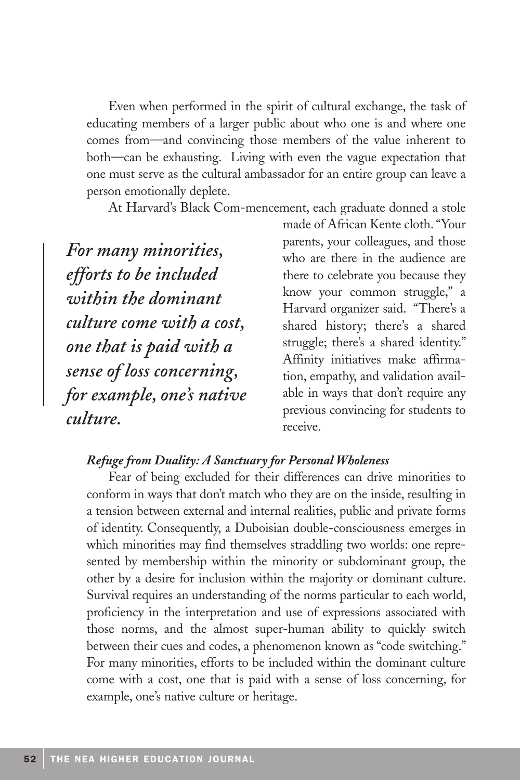Even when performed in the spirit of cultural exchange, the task of educating members of a larger public about who one is and where one comes from—and convincing those members of the value inherent to both—can be exhausting. Living with even the vague expectation that one must serve as the cultural ambassador for an entire group can leave a person emotionally deplete.

At Harvard's Black Com-mencement, each graduate donned a stole

*For many minorities, efforts to be included within the dominant culture come with a cost, one that is paid with a sense of loss concerning, for example, one's native culture.*

made of African Kente cloth. "Your parents, your colleagues, and those who are there in the audience are there to celebrate you because they know your common struggle," a Harvard organizer said. "There's a shared history; there's a shared struggle; there's a shared identity." Affinity initiatives make affirmation, empathy, and validation available in ways that don't require any previous convincing for students to receive.

## *Refuge from Duality: A Sanctuary for Personal Wholeness*

Fear of being excluded for their differences can drive minorities to conform in ways that don't match who they are on the inside, resulting in a tension between external and internal realities, public and private forms of identity. Consequently, a Duboisian double-consciousness emerges in which minorities may find themselves straddling two worlds: one represented by membership within the minority or subdominant group, the other by a desire for inclusion within the majority or dominant culture. Survival requires an understanding of the norms particular to each world, proficiency in the interpretation and use of expressions associated with those norms, and the almost super-human ability to quickly switch between their cues and codes, a phenomenon known as "code switching." For many minorities, efforts to be included within the dominant culture come with a cost, one that is paid with a sense of loss concerning, for example, one's native culture or heritage.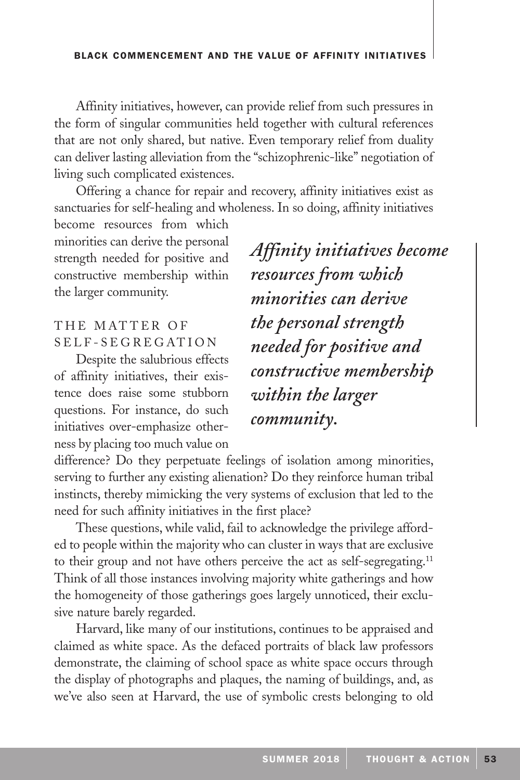Affinity initiatives, however, can provide relief from such pressures in the form of singular communities held together with cultural references that are not only shared, but native. Even temporary relief from duality can deliver lasting alleviation from the "schizophrenic-like" negotiation of living such complicated existences.

Offering a chance for repair and recovery, affinity initiatives exist as sanctuaries for self-healing and wholeness. In so doing, affinity initiatives

become resources from which minorities can derive the personal strength needed for positive and constructive membership within the larger community.

## THE MATTER OF S E L F - S E G R E G AT I O N

Despite the salubrious effects of affinity initiatives, their existence does raise some stubborn questions. For instance, do such initiatives over-emphasize otherness by placing too much value on

*Affinity initiatives become resources from which minorities can derive the personal strength needed for positive and constructive membership within the larger community.*

difference? Do they perpetuate feelings of isolation among minorities, serving to further any existing alienation? Do they reinforce human tribal instincts, thereby mimicking the very systems of exclusion that led to the need for such affinity initiatives in the first place?

These questions, while valid, fail to acknowledge the privilege afforded to people within the majority who can cluster in ways that are exclusive to their group and not have others perceive the act as self-segregating.<sup>11</sup> Think of all those instances involving majority white gatherings and how the homogeneity of those gatherings goes largely unnoticed, their exclusive nature barely regarded.

Harvard, like many of our institutions, continues to be appraised and claimed as white space. As the defaced portraits of black law professors demonstrate, the claiming of school space as white space occurs through the display of photographs and plaques, the naming of buildings, and, as we've also seen at Harvard, the use of symbolic crests belonging to old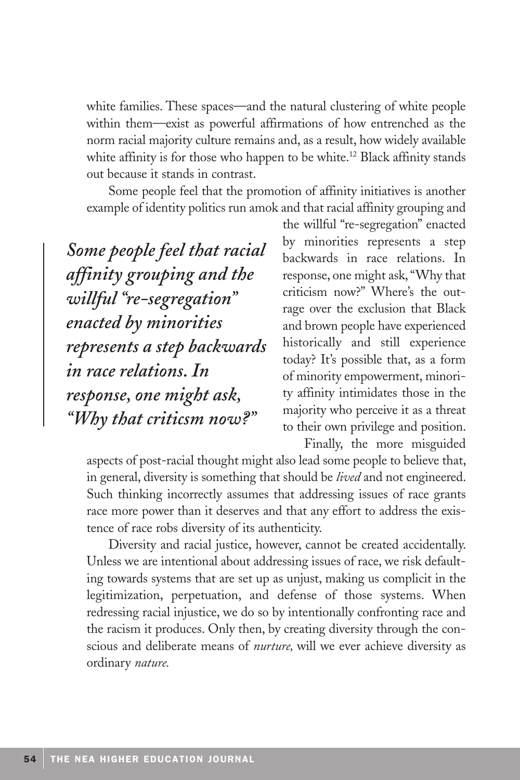white families. These spaces—and the natural clustering of white people within them—exist as powerful affirmations of how entrenched as the norm racial majority culture remains and, as a result, how widely available white affinity is for those who happen to be white.<sup>12</sup> Black affinity stands out because it stands in contrast.

Some people feel that the promotion of affinity initiatives is another example of identity politics run amok and that racial affinity grouping and

*Some people feel that racial affinity grouping and the willful "re-segregation" enacted by minorities represents a step backwards in race relations. In response, one might ask, "Why that criticsm now?"*

the willful "re-segregation" enacted by minorities represents a step backwards in race relations. In response, one might ask, "Why that criticism now?" Where's the outrage over the exclusion that Black and brown people have experienced historically and still experience today? It's possible that, as a form of minority empowerment, minority affinity intimidates those in the majority who perceive it as a threat to their own privilege and position. Finally, the more misguided

aspects of post-racial thought might also lead some people to believe that, in general, diversity is something that should be *lived* and not engineered. Such thinking incorrectly assumes that addressing issues of race grants race more power than it deserves and that any effort to address the existence of race robs diversity of its authenticity.

Diversity and racial justice, however, cannot be created accidentally. Unless we are intentional about addressing issues of race, we risk defaulting towards systems that are set up as unjust, making us complicit in the legitimization, perpetuation, and defense of those systems. When redressing racial injustice, we do so by intentionally confronting race and the racism it produces. Only then, by creating diversity through the conscious and deliberate means of *nurture,* will we ever achieve diversity as ordinary *nature.*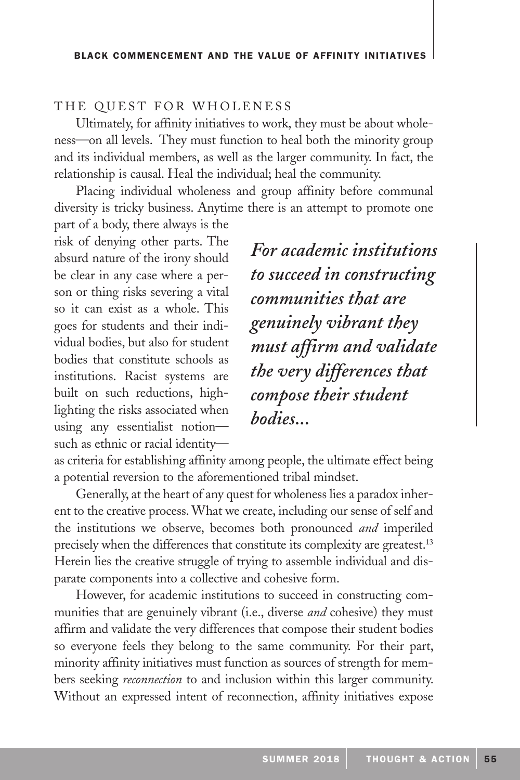#### THE QUEST FOR WHOLENESS

Ultimately, for affinity initiatives to work, they must be about wholeness—on all levels. They must function to heal both the minority group and its individual members, as well as the larger community. In fact, the relationship is causal. Heal the individual; heal the community.

Placing individual wholeness and group affinity before communal diversity is tricky business. Anytime there is an attempt to promote one

part of a body, there always is the risk of denying other parts. The absurd nature of the irony should be clear in any case where a person or thing risks severing a vital so it can exist as a whole. This goes for students and their individual bodies, but also for student bodies that constitute schools as institutions. Racist systems are built on such reductions, highlighting the risks associated when using any essentialist notion such as ethnic or racial identity—

*For academic institutions to succeed in constructing communities that are genuinely vibrant they must affirm and validate the very differences that compose their student bodies...*

as criteria for establishing affinity among people, the ultimate effect being a potential reversion to the aforementioned tribal mindset.

Generally, at the heart of any quest for wholeness lies a paradox inherent to the creative process. What we create, including our sense of self and the institutions we observe, becomes both pronounced *and* imperiled precisely when the differences that constitute its complexity are greatest.<sup>13</sup> Herein lies the creative struggle of trying to assemble individual and disparate components into a collective and cohesive form.

However, for academic institutions to succeed in constructing communities that are genuinely vibrant (i.e., diverse *and* cohesive) they must affirm and validate the very differences that compose their student bodies so everyone feels they belong to the same community. For their part, minority affinity initiatives must function as sources of strength for members seeking *reconnection* to and inclusion within this larger community. Without an expressed intent of reconnection, affinity initiatives expose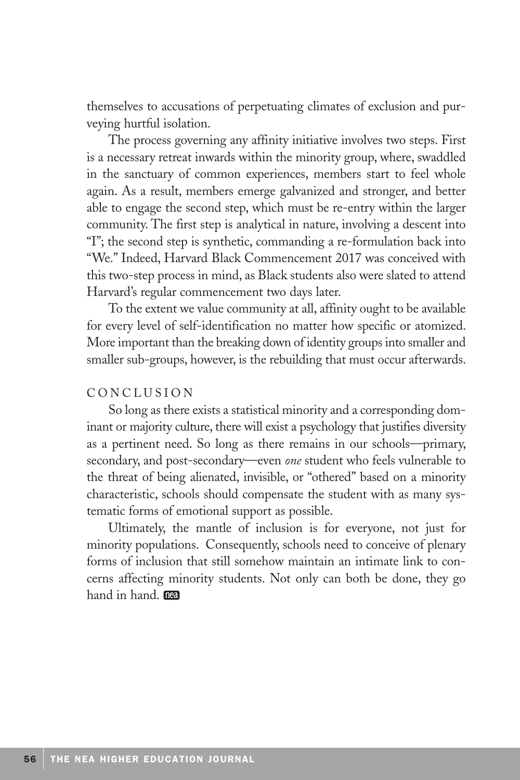themselves to accusations of perpetuating climates of exclusion and purveying hurtful isolation.

The process governing any affinity initiative involves two steps. First is a necessary retreat inwards within the minority group, where, swaddled in the sanctuary of common experiences, members start to feel whole again. As a result, members emerge galvanized and stronger, and better able to engage the second step, which must be re-entry within the larger community. The first step is analytical in nature, involving a descent into "I"; the second step is synthetic, commanding a re-formulation back into "We." Indeed, Harvard Black Commencement 2017 was conceived with this two-step process in mind, as Black students also were slated to attend Harvard's regular commencement two days later.

To the extent we value community at all, affinity ought to be available for every level of self-identification no matter how specific or atomized. More important than the breaking down of identity groups into smaller and smaller sub-groups, however, is the rebuilding that must occur afterwards.

### CONCLUSION

So long as there exists a statistical minority and a corresponding dominant or majority culture, there will exist a psychology that justifies diversity as a pertinent need. So long as there remains in our schools—primary, secondary, and post-secondary—even *one* student who feels vulnerable to the threat of being alienated, invisible, or "othered" based on a minority characteristic, schools should compensate the student with as many systematic forms of emotional support as possible.

Ultimately, the mantle of inclusion is for everyone, not just for minority populations. Consequently, schools need to conceive of plenary forms of inclusion that still somehow maintain an intimate link to concerns affecting minority students. Not only can both be done, they go hand in hand.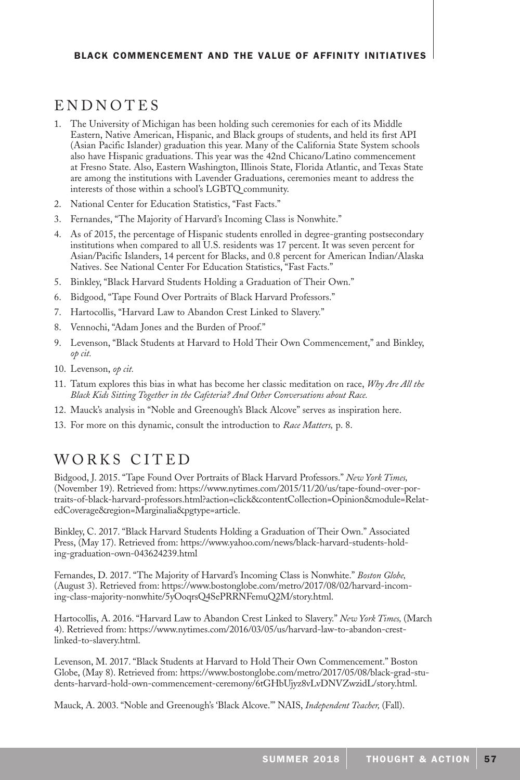# ENDNOTES

- 1. The University of Michigan has been holding such ceremonies for each of its Middle Eastern, Native American, Hispanic, and Black groups of students, and held its first API (Asian Pacific Islander) graduation this year. Many of the California State System schools also have Hispanic graduations. This year was the 42nd Chicano/Latino commencement at Fresno State. Also, Eastern Washington, Illinois State, Florida Atlantic, and Texas State are among the institutions with Lavender Graduations, ceremonies meant to address the interests of those within a school's LGBTQ community.
- 2. National Center for Education Statistics, "Fast Facts."
- 3. Fernandes, "The Majority of Harvard's Incoming Class is Nonwhite."
- 4. As of 2015, the percentage of Hispanic students enrolled in degree-granting postsecondary institutions when compared to all U.S. residents was 17 percent. It was seven percent for Asian/Pacific Islanders, 14 percent for Blacks, and 0.8 percent for American Indian/Alaska Natives. See National Center For Education Statistics, "Fast Facts."
- 5. Binkley, "Black Harvard Students Holding a Graduation of Their Own."
- 6. Bidgood, "Tape Found Over Portraits of Black Harvard Professors."
- 7. Hartocollis, "Harvard Law to Abandon Crest Linked to Slavery."
- 8. Vennochi, "Adam Jones and the Burden of Proof."
- 9. Levenson, "Black Students at Harvard to Hold Their Own Commencement," and Binkley, *op cit.*
- 10. Levenson, *op cit.*
- 11. Tatum explores this bias in what has become her classic meditation on race, *Why Are All the Black Kids Sitting Together in the Cafeteria? And Other Conversations about Race.*
- 12. Mauck's analysis in "Noble and Greenough's Black Alcove" serves as inspiration here.
- 13. For more on this dynamic, consult the introduction to *Race Matters,* p. 8.

# WORKS CITED

Bidgood, J. 2015. "Tape Found Over Portraits of Black Harvard Professors." *New York Times,*  (November 19). Retrieved from: https://www.nytimes.com/2015/11/20/us/tape-found-over-portraits-of-black-harvard-professors.html?action=click&contentCollection=Opinion&module=RelatedCoverage&region=Marginalia&pgtype=article.

Binkley, C. 2017. "Black Harvard Students Holding a Graduation of Their Own." Associated Press, (May 17). Retrieved from: https://www.yahoo.com/news/black-harvard-students-holding-graduation-own-043624239.html

Fernandes, D. 2017. "The Majority of Harvard's Incoming Class is Nonwhite." *Boston Globe,*  (August 3). Retrieved from: https://www.bostonglobe.com/metro/2017/08/02/harvard-incoming-class-majority-nonwhite/5yOoqrsQ4SePRRNFemuQ2M/story.html.

Hartocollis, A. 2016. "Harvard Law to Abandon Crest Linked to Slavery." *New York Times,* (March 4). Retrieved from: https://www.nytimes.com/2016/03/05/us/harvard-law-to-abandon-crestlinked-to-slavery.html.

Levenson, M. 2017. "Black Students at Harvard to Hold Their Own Commencement." Boston Globe, (May 8). Retrieved from: https://www.bostonglobe.com/metro/2017/05/08/black-grad-students-harvard-hold-own-commencement-ceremony/6tGHbUjyz8vLvDNVZwzidL/story.html.

Mauck, A. 2003. "Noble and Greenough's 'Black Alcove.'" NAIS, *Independent Teacher,* (Fall).